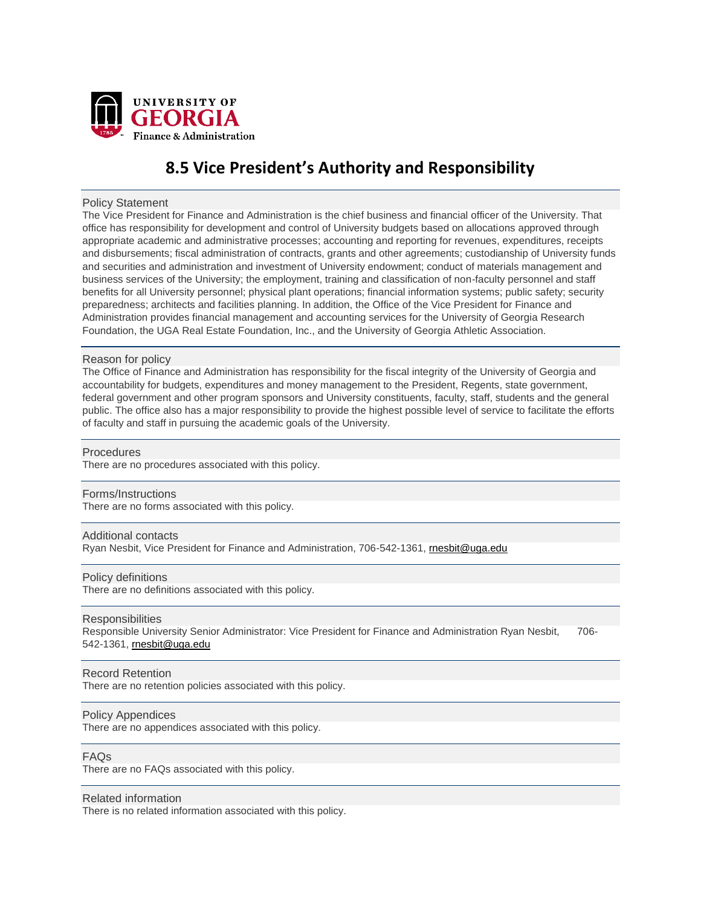

# **8.5 Vice President's Authority and Responsibility**

#### Policy Statement

The Vice President for Finance and Administration is the chief business and financial officer of the University. That office has responsibility for development and control of University budgets based on allocations approved through appropriate academic and administrative processes; accounting and reporting for revenues, expenditures, receipts and disbursements; fiscal administration of contracts, grants and other agreements; custodianship of University funds and securities and administration and investment of University endowment; conduct of materials management and business services of the University; the employment, training and classification of non-faculty personnel and staff benefits for all University personnel; physical plant operations; financial information systems; public safety; security preparedness; architects and facilities planning. In addition, the Office of the Vice President for Finance and Administration provides financial management and accounting services for the University of Georgia Research Foundation, the UGA Real Estate Foundation, Inc., and the University of Georgia Athletic Association.

# Reason for policy

The Office of Finance and Administration has responsibility for the fiscal integrity of the University of Georgia and accountability for budgets, expenditures and money management to the President, Regents, state government, federal government and other program sponsors and University constituents, faculty, staff, students and the general public. The office also has a major responsibility to provide the highest possible level of service to facilitate the efforts of faculty and staff in pursuing the academic goals of the University.

#### **Procedures**

There are no procedures associated with this policy.

# Forms/Instructions

There are no forms associated with this policy.

# Additional contacts

Ryan Nesbit, Vice President for Finance and Administration, 706-542-1361, mesbit@uga.edu

#### Policy definitions

There are no definitions associated with this policy.

#### **Responsibilities**

Responsible University Senior Administrator: Vice President for Finance and Administration Ryan Nesbit, 706- 542-1361, [rnesbit@uga.edu](mailto:rnesbit@uga.edu)

#### Record Retention

There are no retention policies associated with this policy.

#### Policy Appendices

There are no appendices associated with this policy.

### FAQs

There are no FAQs associated with this policy.

# Related information

There is no related information associated with this policy.